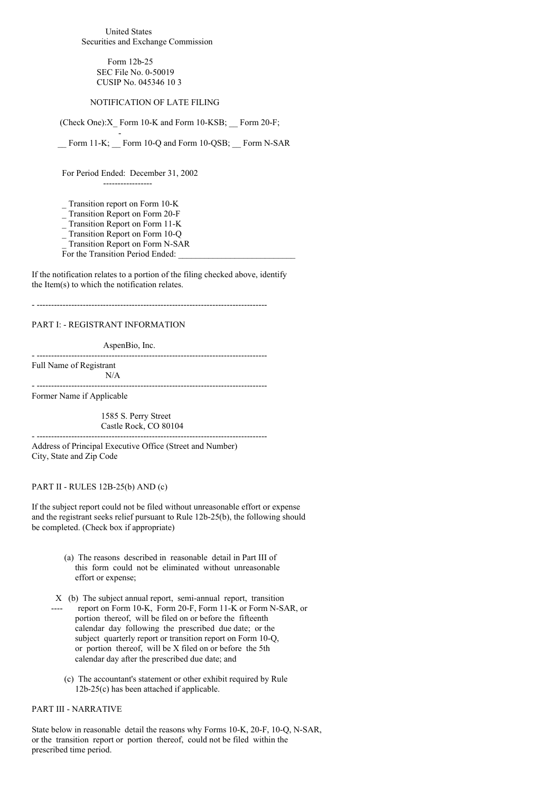United States Securities and Exchange Commission

> Form 12b-25 SEC File No. 0-50019 CUSIP No. 045346 10 3

#### NOTIFICATION OF LATE FILING

(Check One):X\_ Form 10-K and Form 10-KSB; \_\_ Form 20-F;

\_\_ Form 11-K; \_\_ Form 10-Q and Form 10-QSB; \_\_ Form N-SAR

For Period Ended: December 31, 2002

-----------------

-

\_ Transition report on Form 10-K

\_ Transition Report on Form 20-F

\_ Transition Report on Form 11-K

 $\frac{1}{2}$  Transition Report on Form 10-Q

\_ Transition Report on Form N-SAR

For the Transition Period Ended:

If the notification relates to a portion of the filing checked above, identify the Item(s) to which the notification relates.

- --------------------------------------------------------------------------------

# PART I: - REGISTRANT INFORMATION

AspenBio, Inc.

Full Name of Registrant N/A

- --------------------------------------------------------------------------------

- --------------------------------------------------------------------------------

- --------------------------------------------------------------------------------

Former Name if Applicable

1585 S. Perry Street Castle Rock, CO 80104

Address of Principal Executive Office (Street and Number) City, State and Zip Code

#### PART II - RULES 12B-25(b) AND (c)

If the subject report could not be filed without unreasonable effort or expense and the registrant seeks relief pursuant to Rule 12b-25(b), the following should be completed. (Check box if appropriate)

- (a) The reasons described in reasonable detail in Part III of this form could not be eliminated without unreasonable effort or expense;
- X (b) The subject annual report, semi-annual report, transition report on Form 10-K, Form 20-F, Form 11-K or Form N-SAR, or portion thereof, will be filed on or before the fifteenth calendar day following the prescribed due date; or the subject quarterly report or transition report on Form 10-Q, or portion thereof, will be X filed on or before the 5th calendar day after the prescribed due date; and
	- (c) The accountant's statement or other exhibit required by Rule 12b-25(c) has been attached if applicable.

### PART III - NARRATIVE

State below in reasonable detail the reasons why Forms 10-K, 20-F, 10-Q, N-SAR, or the transition report or portion thereof, could not be filed within the prescribed time period.